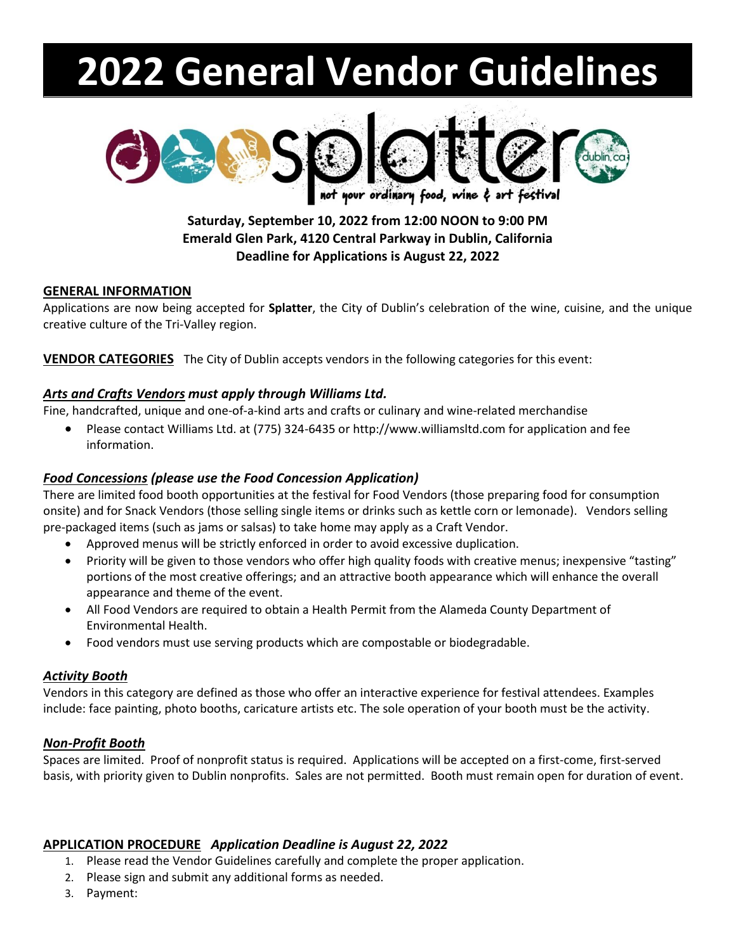# **2022 General Vendor Guidelines**



# **Saturday, September 10, 2022 from 12:00 NOON to 9:00 PM Emerald Glen Park, 4120 Central Parkway in Dublin, California Deadline for Applications is August 22, 2022**

### **GENERAL INFORMATION**

Applications are now being accepted for **Splatter**, the City of Dublin's celebration of the wine, cuisine, and the unique creative culture of the Tri-Valley region.

**VENDOR CATEGORIES** The City of Dublin accepts vendors in the following categories for this event:

# *Arts and Crafts Vendors must apply through Williams Ltd.*

Fine, handcrafted, unique and one-of-a-kind arts and crafts or culinary and wine-related merchandise

• Please contact Williams Ltd. at (775) 324-6435 or http://www.williamsltd.com for application and fee information.

# *Food Concessions (please use the Food Concession Application)*

There are limited food booth opportunities at the festival for Food Vendors (those preparing food for consumption onsite) and for Snack Vendors (those selling single items or drinks such as kettle corn or lemonade). Vendors selling pre-packaged items (such as jams or salsas) to take home may apply as a Craft Vendor.

- Approved menus will be strictly enforced in order to avoid excessive duplication.
- Priority will be given to those vendors who offer high quality foods with creative menus; inexpensive "tasting" portions of the most creative offerings; and an attractive booth appearance which will enhance the overall appearance and theme of the event.
- All Food Vendors are required to obtain a Health Permit from the Alameda County Department of Environmental Health.
- Food vendors must use serving products which are compostable or biodegradable.

# *Activity Booth*

Vendors in this category are defined as those who offer an interactive experience for festival attendees. Examples include: face painting, photo booths, caricature artists etc. The sole operation of your booth must be the activity.

# *Non-Profit Booth*

Spaces are limited. Proof of nonprofit status is required. Applications will be accepted on a first-come, first-served basis, with priority given to Dublin nonprofits. Sales are not permitted. Booth must remain open for duration of event.

# **APPLICATION PROCEDURE** *Application Deadline is August 22, 2022*

- 1. Please read the Vendor Guidelines carefully and complete the proper application.
- 2. Please sign and submit any additional forms as needed.
- 3. Payment: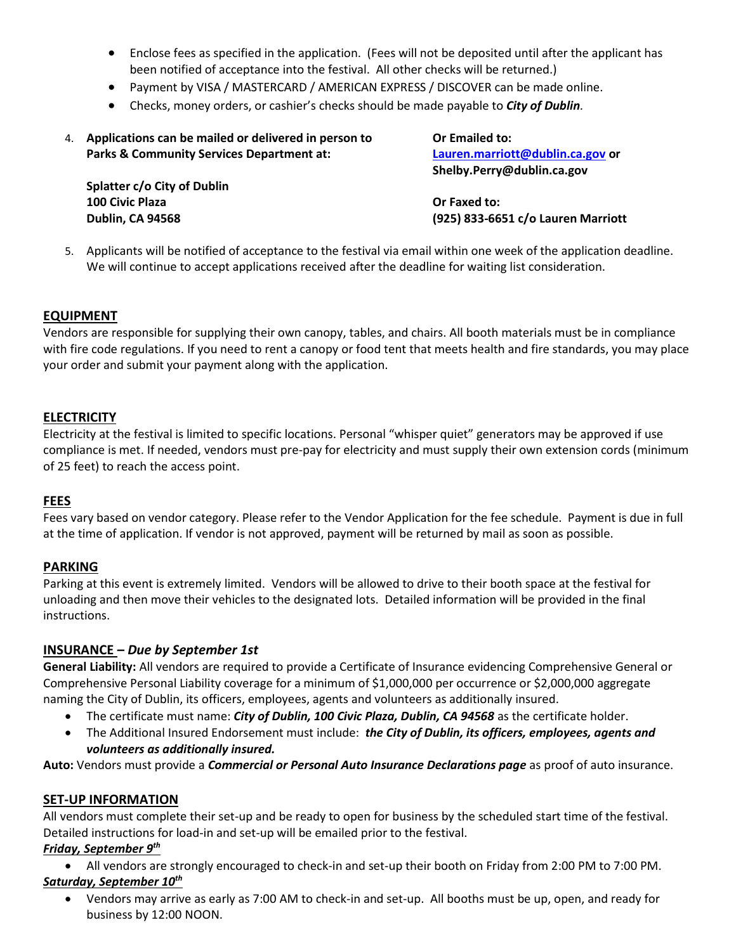- Enclose fees as specified in the application. (Fees will not be deposited until after the applicant has been notified of acceptance into the festival. All other checks will be returned.)
- Payment by VISA / MASTERCARD / AMERICAN EXPRESS / DISCOVER can be made online.
- Checks, money orders, or cashier's checks should be made payable to *City of Dublin.*
- 4. **Applications can be mailed or delivered in person to Or Emailed to: Parks & Community Services Department at: [Lauren.marriott@dublin.ca.gov](mailto:Lauren.marriott@dublin.ca.gov) or**

**Splatter c/o City of Dublin 100 Civic Plaza Or Faxed to:**

**Shelby.Perry@dublin.ca.gov**

**Dublin, CA 94568 (925) 833-6651 c/o Lauren Marriott**

5. Applicants will be notified of acceptance to the festival via email within one week of the application deadline. We will continue to accept applications received after the deadline for waiting list consideration.

#### **EQUIPMENT**

Vendors are responsible for supplying their own canopy, tables, and chairs. All booth materials must be in compliance with fire code regulations. If you need to rent a canopy or food tent that meets health and fire standards, you may place your order and submit your payment along with the application.

#### **ELECTRICITY**

Electricity at the festival is limited to specific locations. Personal "whisper quiet" generators may be approved if use compliance is met. If needed, vendors must pre-pay for electricity and must supply their own extension cords (minimum of 25 feet) to reach the access point.

#### **FEES**

Fees vary based on vendor category. Please refer to the Vendor Application for the fee schedule. Payment is due in full at the time of application. If vendor is not approved, payment will be returned by mail as soon as possible.

#### **PARKING**

Parking at this event is extremely limited. Vendors will be allowed to drive to their booth space at the festival for unloading and then move their vehicles to the designated lots. Detailed information will be provided in the final instructions.

#### **INSURANCE –** *Due by September 1st*

**General Liability:** All vendors are required to provide a Certificate of Insurance evidencing Comprehensive General or Comprehensive Personal Liability coverage for a minimum of \$1,000,000 per occurrence or \$2,000,000 aggregate naming the City of Dublin, its officers, employees, agents and volunteers as additionally insured.

- The certificate must name: *City of Dublin, 100 Civic Plaza, Dublin, CA 94568* as the certificate holder.
- The Additional Insured Endorsement must include: *the City of Dublin, its officers, employees, agents and volunteers as additionally insured.*

**Auto:** Vendors must provide a *Commercial or Personal Auto Insurance Declarations page* as proof of auto insurance.

#### **SET-UP INFORMATION**

All vendors must complete their set-up and be ready to open for business by the scheduled start time of the festival. Detailed instructions for load-in and set-up will be emailed prior to the festival.

*Friday, September 9th*

• All vendors are strongly encouraged to check-in and set-up their booth on Friday from 2:00 PM to 7:00 PM. *Saturday, September 10th* 

• Vendors may arrive as early as 7:00 AM to check-in and set-up. All booths must be up, open, and ready for business by 12:00 NOON.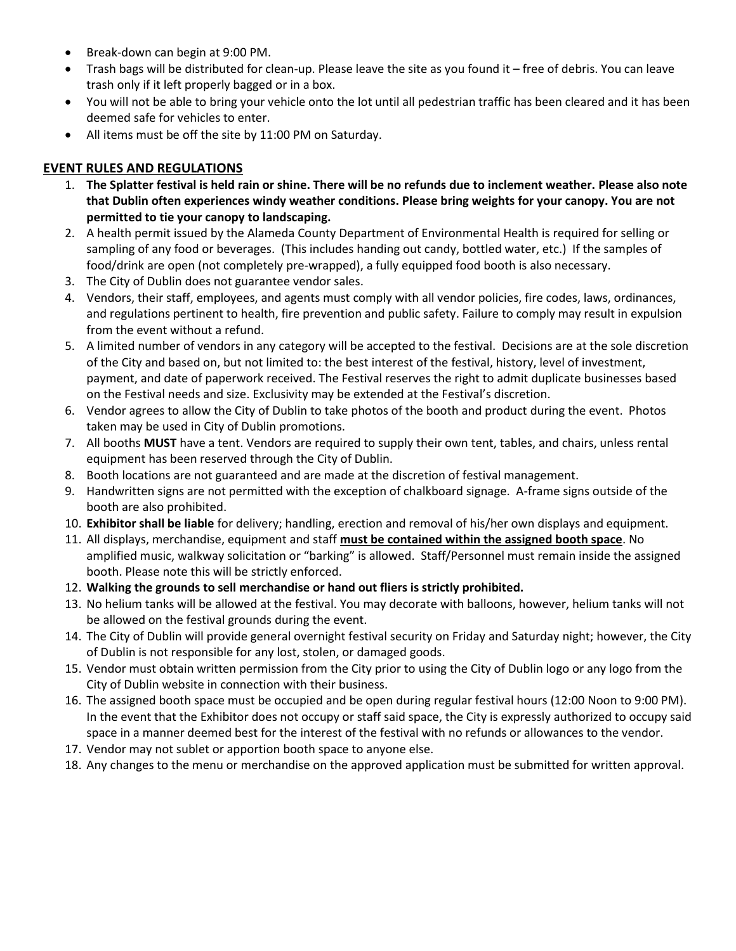- Break-down can begin at 9:00 PM.
- Trash bags will be distributed for clean-up. Please leave the site as you found it free of debris. You can leave trash only if it left properly bagged or in a box.
- You will not be able to bring your vehicle onto the lot until all pedestrian traffic has been cleared and it has been deemed safe for vehicles to enter.
- All items must be off the site by 11:00 PM on Saturday.

# **EVENT RULES AND REGULATIONS**

- 1. **The Splatter festival is held rain or shine. There will be no refunds due to inclement weather. Please also note that Dublin often experiences windy weather conditions. Please bring weights for your canopy. You are not permitted to tie your canopy to landscaping.**
- 2. A health permit issued by the Alameda County Department of Environmental Health is required for selling or sampling of any food or beverages. (This includes handing out candy, bottled water, etc.) If the samples of food/drink are open (not completely pre-wrapped), a fully equipped food booth is also necessary.
- 3. The City of Dublin does not guarantee vendor sales.
- 4. Vendors, their staff, employees, and agents must comply with all vendor policies, fire codes, laws, ordinances, and regulations pertinent to health, fire prevention and public safety. Failure to comply may result in expulsion from the event without a refund.
- 5. A limited number of vendors in any category will be accepted to the festival. Decisions are at the sole discretion of the City and based on, but not limited to: the best interest of the festival, history, level of investment, payment, and date of paperwork received. The Festival reserves the right to admit duplicate businesses based on the Festival needs and size. Exclusivity may be extended at the Festival's discretion.
- 6. Vendor agrees to allow the City of Dublin to take photos of the booth and product during the event. Photos taken may be used in City of Dublin promotions.
- 7. All booths **MUST** have a tent. Vendors are required to supply their own tent, tables, and chairs, unless rental equipment has been reserved through the City of Dublin.
- 8. Booth locations are not guaranteed and are made at the discretion of festival management.
- 9. Handwritten signs are not permitted with the exception of chalkboard signage. A-frame signs outside of the booth are also prohibited.
- 10. **Exhibitor shall be liable** for delivery; handling, erection and removal of his/her own displays and equipment.
- 11. All displays, merchandise, equipment and staff **must be contained within the assigned booth space**. No amplified music, walkway solicitation or "barking" is allowed. Staff/Personnel must remain inside the assigned booth. Please note this will be strictly enforced.
- 12. **Walking the grounds to sell merchandise or hand out fliers is strictly prohibited.**
- 13. No helium tanks will be allowed at the festival. You may decorate with balloons, however, helium tanks will not be allowed on the festival grounds during the event.
- 14. The City of Dublin will provide general overnight festival security on Friday and Saturday night; however, the City of Dublin is not responsible for any lost, stolen, or damaged goods.
- 15. Vendor must obtain written permission from the City prior to using the City of Dublin logo or any logo from the City of Dublin website in connection with their business.
- 16. The assigned booth space must be occupied and be open during regular festival hours (12:00 Noon to 9:00 PM). In the event that the Exhibitor does not occupy or staff said space, the City is expressly authorized to occupy said space in a manner deemed best for the interest of the festival with no refunds or allowances to the vendor.
- 17. Vendor may not sublet or apportion booth space to anyone else.
- 18. Any changes to the menu or merchandise on the approved application must be submitted for written approval.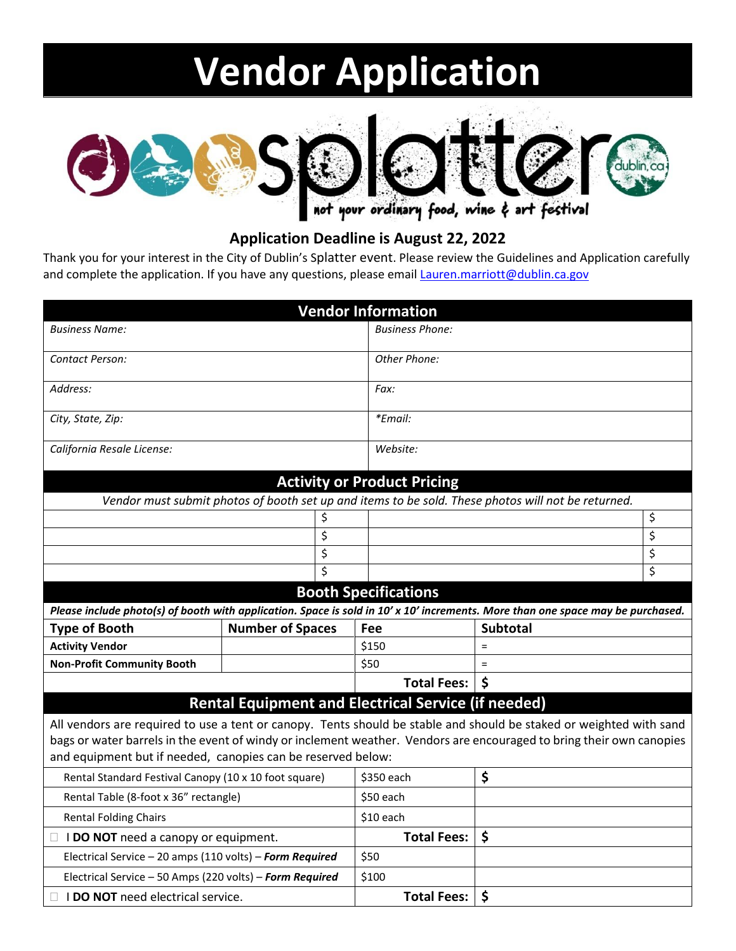# **Vendor Application**



# **Application Deadline is August 22, 2022**

Thank you for your interest in the City of Dublin's Splatter event. Please review the Guidelines and Application carefully and complete the application. If you have any questions, please email **Lauren.marriott@dublin.ca.gov** 

| <b>Vendor Information</b>                                                                                                                |                         |                        |                      |    |
|------------------------------------------------------------------------------------------------------------------------------------------|-------------------------|------------------------|----------------------|----|
| <b>Business Name:</b>                                                                                                                    |                         | <b>Business Phone:</b> |                      |    |
| Contact Person:                                                                                                                          |                         | Other Phone:           |                      |    |
|                                                                                                                                          |                         |                        |                      |    |
| Address:                                                                                                                                 |                         | Fax:                   |                      |    |
| City, State, Zip:                                                                                                                        |                         | *Email:                |                      |    |
|                                                                                                                                          |                         |                        |                      |    |
| California Resale License:                                                                                                               |                         | Website:               |                      |    |
|                                                                                                                                          |                         |                        |                      |    |
| <b>Activity or Product Pricing</b><br>Vendor must submit photos of booth set up and items to be sold. These photos will not be returned. |                         |                        |                      |    |
| \$                                                                                                                                       |                         |                        |                      | \$ |
| \$                                                                                                                                       |                         |                        |                      | \$ |
| \$                                                                                                                                       |                         |                        |                      | \$ |
| \$                                                                                                                                       |                         |                        |                      | \$ |
| <b>Booth Specifications</b>                                                                                                              |                         |                        |                      |    |
| Please include photo(s) of booth with application. Space is sold in 10' x 10' increments. More than one space may be purchased.          |                         |                        |                      |    |
| <b>Type of Booth</b>                                                                                                                     | <b>Number of Spaces</b> | Fee                    | <b>Subtotal</b>      |    |
| <b>Activity Vendor</b>                                                                                                                   |                         | \$150                  | $\equiv$             |    |
| <b>Non-Profit Community Booth</b>                                                                                                        |                         | \$50                   | $\equiv$             |    |
|                                                                                                                                          |                         | <b>Total Fees:</b>     | \$                   |    |
| <b>Rental Equipment and Electrical Service (if needed)</b>                                                                               |                         |                        |                      |    |
| All vendors are required to use a tent or canopy. Tents should be stable and should be staked or weighted with sand                      |                         |                        |                      |    |
| bags or water barrels in the event of windy or inclement weather. Vendors are encouraged to bring their own canopies                     |                         |                        |                      |    |
| and equipment but if needed, canopies can be reserved below:                                                                             |                         |                        |                      |    |
| Rental Standard Festival Canopy (10 x 10 foot square)                                                                                    |                         | \$350 each             | \$                   |    |
| Rental Table (8-foot x 36" rectangle)                                                                                                    |                         | \$50 each              |                      |    |
| <b>Rental Folding Chairs</b>                                                                                                             |                         | \$10 each              |                      |    |
| $\Box$ <b>I DO NOT</b> need a canopy or equipment.                                                                                       |                         | <b>Total Fees:</b>     | $\boldsymbol{\zeta}$ |    |
| Electrical Service - 20 amps (110 volts) - Form Required                                                                                 |                         | \$50                   |                      |    |
| Electrical Service - 50 Amps (220 volts) - Form Required                                                                                 |                         | \$100                  |                      |    |
| $\Box$ <b>I DO NOT</b> need electrical service.                                                                                          |                         | <b>Total Fees:</b>     | \$                   |    |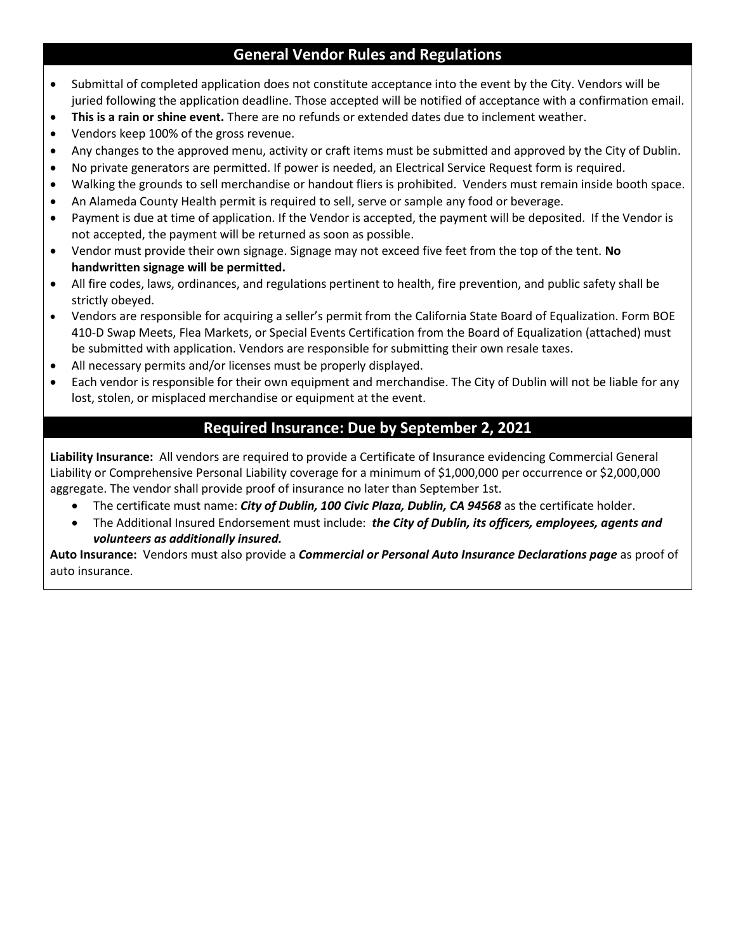# **General Vendor Rules and Regulations**

- Submittal of completed application does not constitute acceptance into the event by the City. Vendors will be juried following the application deadline. Those accepted will be notified of acceptance with a confirmation email.
- **This is a rain or shine event.** There are no refunds or extended dates due to inclement weather.
- Vendors keep 100% of the gross revenue.
- Any changes to the approved menu, activity or craft items must be submitted and approved by the City of Dublin.
- No private generators are permitted. If power is needed, an Electrical Service Request form is required.
- Walking the grounds to sell merchandise or handout fliers is prohibited. Venders must remain inside booth space.
- An Alameda County Health permit is required to sell, serve or sample any food or beverage.
- Payment is due at time of application. If the Vendor is accepted, the payment will be deposited. If the Vendor is not accepted, the payment will be returned as soon as possible.
- Vendor must provide their own signage. Signage may not exceed five feet from the top of the tent. **No handwritten signage will be permitted.**
- All fire codes, laws, ordinances, and regulations pertinent to health, fire prevention, and public safety shall be strictly obeyed.
- Vendors are responsible for acquiring a seller's permit from the California State Board of Equalization. Form BOE 410-D Swap Meets, Flea Markets, or Special Events Certification from the Board of Equalization (attached) must be submitted with application. Vendors are responsible for submitting their own resale taxes.
- All necessary permits and/or licenses must be properly displayed.
- Each vendor is responsible for their own equipment and merchandise. The City of Dublin will not be liable for any lost, stolen, or misplaced merchandise or equipment at the event.

# **Required Insurance: Due by September 2, 2021**

**Liability Insurance:** All vendors are required to provide a Certificate of Insurance evidencing Commercial General Liability or Comprehensive Personal Liability coverage for a minimum of \$1,000,000 per occurrence or \$2,000,000 aggregate. The vendor shall provide proof of insurance no later than September 1st.

- The certificate must name: *City of Dublin, 100 Civic Plaza, Dublin, CA 94568* as the certificate holder.
- The Additional Insured Endorsement must include: *the City of Dublin, its officers, employees, agents and volunteers as additionally insured.*

**Auto Insurance:** Vendors must also provide a *Commercial or Personal Auto Insurance Declarations page* as proof of auto insurance.